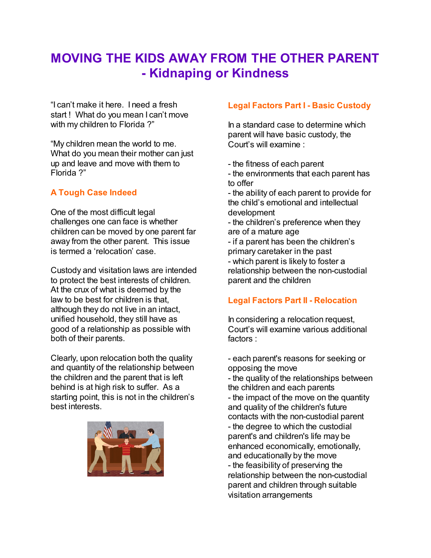# **MOVING THE KIDS AWAY FROM THE OTHER PARENT - Kidnaping or Kindness**

"I can't make it here. I need a fresh start ! What do you mean I can't move with my children to Florida?"

"My children mean the world to me. What do you mean their mother can just up and leave and move with them to Florida ?"

# **A Tough Case Indeed**

One of the most difficult legal challenges one can face is whether children can be moved by one parent far away from the other parent. This issue is termed a 'relocation' case.

Custody and visitation laws are intended to protect the best interests of children. At the crux of what is deemed by the law to be best for children is that, although they do not live in an intact, unified household, they still have as good of a relationship as possible with both of their parents.

Clearly, upon relocation both the quality and quantity of the relationship between the children and the parent that is left behind is at high risk to suffer. As a starting point, this is not in the children's best interests.



### **Legal Factors Part I - Basic Custody**

In a standard case to determine which parent will have basic custody, the Court's will examine :

- the fitness of each parent
- the environments that each parent has to offer

- the ability of each parent to provide for the child's emotional and intellectual development

- the children's preference when they are of a mature age
- if a parent has been the children's primary caretaker in the past
- which parent is likely to foster a relationship between the non-custodial parent and the children

# **Legal Factors Part II - Relocation**

In considering a relocation request, Court's will examine various additional factors :

- each parent's reasons for seeking or opposing the move
- the quality of the relationships between the children and each parents - the impact of the move on the quantity and quality of the children's future contacts with the non-custodial parent - the degree to which the custodial parent's and children's life may be enhanced economically, emotionally, and educationally by the move - the feasibility of preserving the relationship between the non-custodial parent and children through suitable visitation arrangements